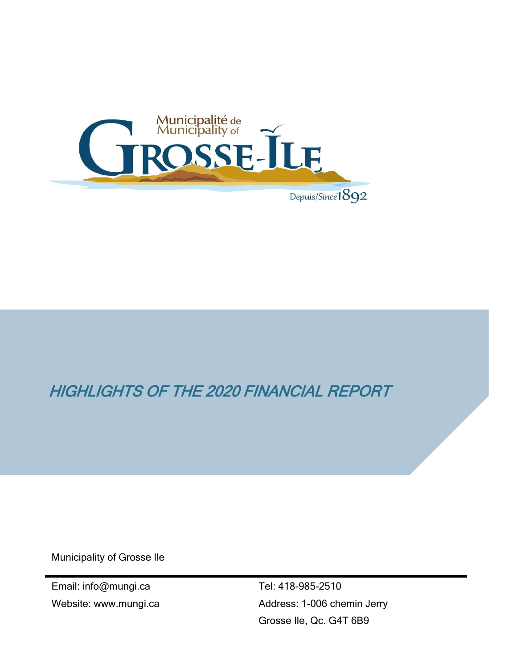

## HIGHLIGHTS OF THE 2020 FINANCIAL REPORT

Municipality of Grosse Ile

Email: info@mungi.ca Website: www.mungi.ca

Tel: 418-985-2510 Address: 1-006 chemin Jerry Grosse Ile, Qc. G4T 6B9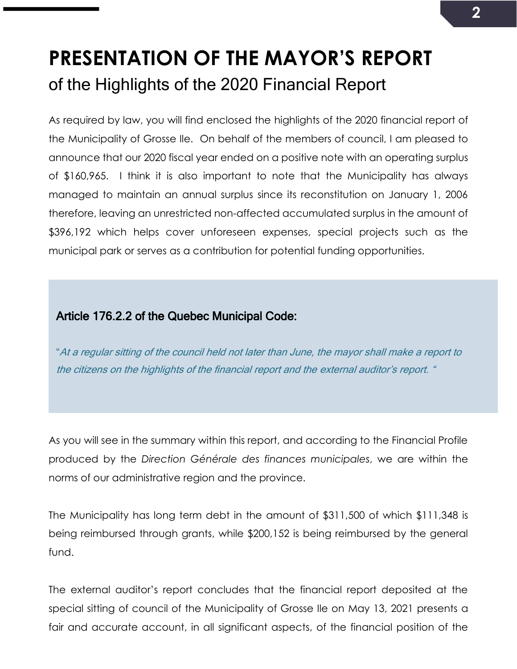# **PRESENTATION OF THE MAYOR'S REPORT** of the Highlights of the 2020 Financial Report

As required by law, you will find enclosed the highlights of the 2020 financial report of the Municipality of Grosse Ile. On behalf of the members of council, I am pleased to announce that our 2020 fiscal year ended on a positive note with an operating surplus of \$160,965. I think it is also important to note that the Municipality has always managed to maintain an annual surplus since its reconstitution on January 1, 2006 therefore, leaving an unrestricted non-affected accumulated surplus in the amount of \$396,192 which helps cover unforeseen expenses, special projects such as the municipal park or serves as a contribution for potential funding opportunities.

#### Article 176.2.2 of the Quebec Municipal Code:

"At a regular sitting of the council held not later than June, the mayor shall make a report to the citizens on the highlights of the financial report and the external auditor's report. "

As you will see in the summary within this report, and according to the Financial Profile produced by the *Direction Générale des finances municipales*, we are within the norms of our administrative region and the province.

The Municipality has long term debt in the amount of \$311,500 of which \$111,348 is being reimbursed through grants, while \$200,152 is being reimbursed by the general fund.

The external auditor's report concludes that the financial report deposited at the special sitting of council of the Municipality of Grosse Ile on May 13, 2021 presents a fair and accurate account, in all significant aspects, of the financial position of the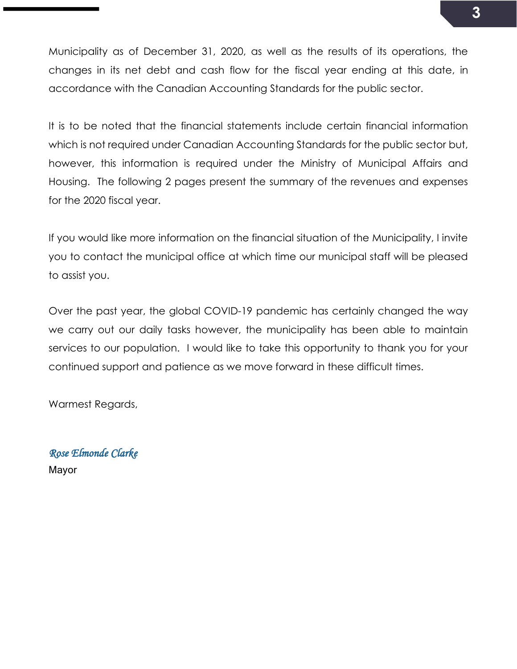Municipality as of December 31, 2020, as well as the results of its operations, the changes in its net debt and cash flow for the fiscal year ending at this date, in accordance with the Canadian Accounting Standards for the public sector.

It is to be noted that the financial statements include certain financial information which is not required under Canadian Accounting Standards for the public sector but, however, this information is required under the Ministry of Municipal Affairs and Housing. The following 2 pages present the summary of the revenues and expenses for the 2020 fiscal year.

If you would like more information on the financial situation of the Municipality, I invite you to contact the municipal office at which time our municipal staff will be pleased to assist you.

Over the past year, the global COVID-19 pandemic has certainly changed the way we carry out our daily tasks however, the municipality has been able to maintain services to our population. I would like to take this opportunity to thank you for your continued support and patience as we move forward in these difficult times.

Warmest Regards,

*Rose Elmonde Clarke*  Mayor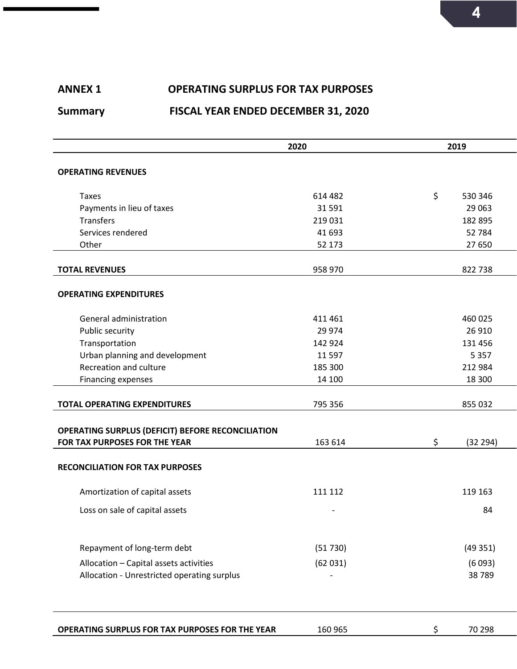## **ANNEX 1 OPERATING SURPLUS FOR TAX PURPOSES Summary FISCAL YEAR ENDED DECEMBER 31, 2020**

|                                                          | 2020    | 2019 |          |
|----------------------------------------------------------|---------|------|----------|
| <b>OPERATING REVENUES</b>                                |         |      |          |
|                                                          |         |      |          |
| <b>Taxes</b>                                             | 614 482 | \$   | 530 346  |
| Payments in lieu of taxes                                | 31 591  |      | 29 0 63  |
| <b>Transfers</b>                                         | 219 031 |      | 182 895  |
| Services rendered                                        | 41 693  |      | 52 784   |
| Other                                                    | 52 173  |      | 27 650   |
|                                                          |         |      |          |
| <b>TOTAL REVENUES</b>                                    | 958 970 |      | 822 738  |
|                                                          |         |      |          |
| <b>OPERATING EXPENDITURES</b>                            |         |      |          |
| General administration                                   | 411 461 |      | 460 025  |
| Public security                                          | 29 974  |      | 26 910   |
| Transportation                                           | 142 924 |      | 131 456  |
| Urban planning and development                           | 11 5 97 |      | 5 3 5 7  |
| Recreation and culture                                   | 185 300 |      | 212 984  |
| <b>Financing expenses</b>                                | 14 100  |      | 18 300   |
|                                                          |         |      |          |
| <b>TOTAL OPERATING EXPENDITURES</b>                      | 795 356 |      | 855 032  |
|                                                          |         |      |          |
| <b>OPERATING SURPLUS (DEFICIT) BEFORE RECONCILIATION</b> |         |      |          |
| FOR TAX PURPOSES FOR THE YEAR                            | 163 614 | \$   | (32 294) |
|                                                          |         |      |          |
| <b>RECONCILIATION FOR TAX PURPOSES</b>                   |         |      |          |
| Amortization of capital assets                           | 111 112 |      | 119 163  |
| Loss on sale of capital assets                           |         |      | 84       |
|                                                          |         |      |          |
| Repayment of long-term debt                              | (51730) |      | (49351)  |
| Allocation - Capital assets activities                   | (62031) |      | (6093)   |
| Allocation - Unrestricted operating surplus              |         |      | 38789    |
|                                                          |         |      |          |
|                                                          |         |      |          |
| OPERATING SURPLUS FOR TAX PURPOSES FOR THE YEAR          | 160 965 | S    | 70 298   |